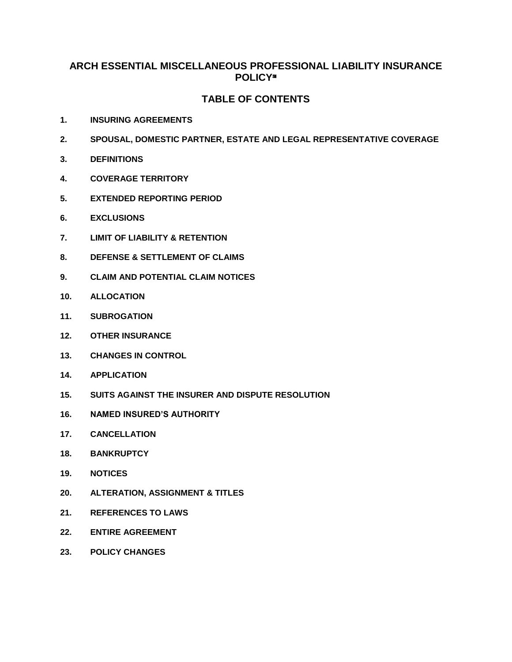# **ARCH ESSENTIAL MISCELLANEOUS PROFESSIONAL LIABILITY INSURANCE POLICY**℠

# **TABLE OF CONTENTS**

- **1. INSURING AGREEMENTS**
- **2. SPOUSAL, DOMESTIC PARTNER, ESTATE AND LEGAL REPRESENTATIVE COVERAGE**
- **3. DEFINITIONS**
- **4. COVERAGE TERRITORY**
- **5. EXTENDED REPORTING PERIOD**
- **6. EXCLUSIONS**
- **7. LIMIT OF LIABILITY & RETENTION**
- **8. DEFENSE & SETTLEMENT OF CLAIMS**
- **9. CLAIM AND POTENTIAL CLAIM NOTICES**
- **10. ALLOCATION**
- **11. SUBROGATION**
- **12. OTHER INSURANCE**
- **13. CHANGES IN CONTROL**
- **14. APPLICATION**
- **15. SUITS AGAINST THE INSURER AND DISPUTE RESOLUTION**
- **16. NAMED INSURED'S AUTHORITY**
- **17. CANCELLATION**
- **18. BANKRUPTCY**
- **19. NOTICES**
- **20. ALTERATION, ASSIGNMENT & TITLES**
- **21. REFERENCES TO LAWS**
- **22. ENTIRE AGREEMENT**
- **23. POLICY CHANGES**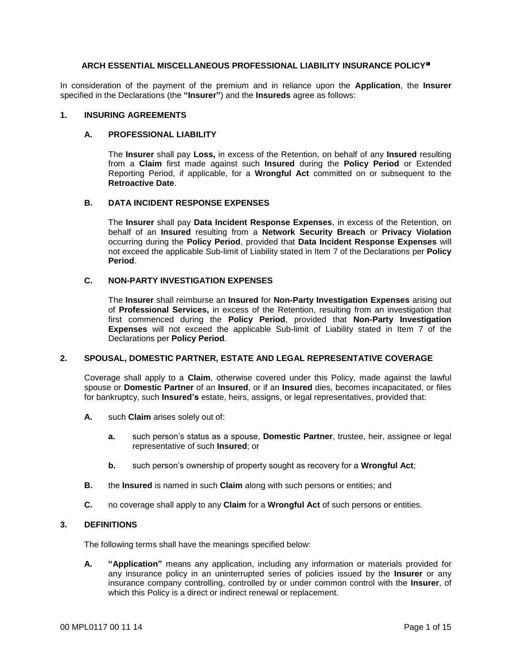## **ARCH ESSENTIAL MISCELLANEOUS PROFESSIONAL LIABILITY INSURANCE POLICY**℠

In consideration of the payment of the premium and in reliance upon the **Application**, the **Insurer** specified in the Declarations (the **"Insurer"**) and the **Insureds** agree as follows:

## **1. INSURING AGREEMENTS**

#### **A. PROFESSIONAL LIABILITY**

The **Insurer** shall pay **Loss,** in excess of the Retention, on behalf of any **Insured** resulting from a **Claim** first made against such **Insured** during the **Policy Period** or Extended Reporting Period, if applicable, for a **Wrongful Act** committed on or subsequent to the **Retroactive Date**.

## **B. DATA INCIDENT RESPONSE EXPENSES**

The **Insurer** shall pay **Data Incident Response Expenses**, in excess of the Retention, on behalf of an **Insured** resulting from a **Network Security Breach** or **Privacy Violation** occurring during the **Policy Period**, provided that **Data Incident Response Expenses** will not exceed the applicable Sub-limit of Liability stated in Item 7 of the Declarations per **Policy Period**.

## **C. NON-PARTY INVESTIGATION EXPENSES**

The **Insurer** shall reimburse an **Insured** for **Non-Party Investigation Expenses** arising out of **Professional Services,** in excess of the Retention, resulting from an investigation that first commenced during the **Policy Period**, provided that **Non-Party Investigation Expenses** will not exceed the applicable Sub-limit of Liability stated in Item 7 of the Declarations per **Policy Period**.

#### **2. SPOUSAL, DOMESTIC PARTNER, ESTATE AND LEGAL REPRESENTATIVE COVERAGE**

Coverage shall apply to a **Claim**, otherwise covered under this Policy, made against the lawful spouse or **Domestic Partner** of an **Insured**, or if an **Insured** dies, becomes incapacitated, or files for bankruptcy, such **Insured's** estate, heirs, assigns, or legal representatives, provided that:

- **A.** such **Claim** arises solely out of:
	- **a.** such person's status as a spouse, **Domestic Partner**, trustee, heir, assignee or legal representative of such **Insured**; or
	- **b.** such person's ownership of property sought as recovery for a **Wrongful Act**;
- **B.** the **Insured** is named in such **Claim** along with such persons or entities; and
- **C.** no coverage shall apply to any **Claim** for a **Wrongful Act** of such persons or entities.

## **3. DEFINITIONS**

The following terms shall have the meanings specified below:

**A. "Application"** means any application, including any information or materials provided for any insurance policy in an uninterrupted series of policies issued by the **Insurer** or any insurance company controlling, controlled by or under common control with the **Insurer**, of which this Policy is a direct or indirect renewal or replacement.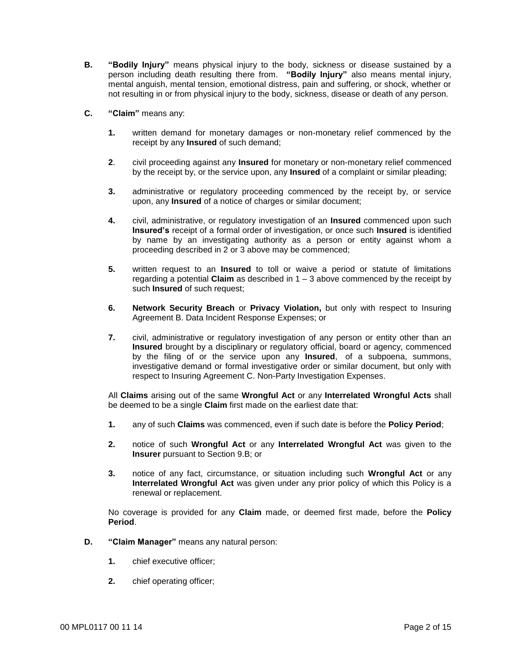- **B. "Bodily Injury"** means physical injury to the body, sickness or disease sustained by a person including death resulting there from. **"Bodily Injury"** also means mental injury, mental anguish, mental tension, emotional distress, pain and suffering, or shock, whether or not resulting in or from physical injury to the body, sickness, disease or death of any person.
- **C. "Claim"** means any:
	- **1.** written demand for monetary damages or non-monetary relief commenced by the receipt by any **Insured** of such demand;
	- **2**. civil proceeding against any **Insured** for monetary or non-monetary relief commenced by the receipt by, or the service upon, any **Insured** of a complaint or similar pleading;
	- **3.** administrative or regulatory proceeding commenced by the receipt by, or service upon, any **Insured** of a notice of charges or similar document;
	- **4.** civil, administrative, or regulatory investigation of an **Insured** commenced upon such **Insured's** receipt of a formal order of investigation, or once such **Insured** is identified by name by an investigating authority as a person or entity against whom a proceeding described in 2 or 3 above may be commenced;
	- **5.** written request to an **Insured** to toll or waive a period or statute of limitations regarding a potential **Claim** as described in 1 – 3 above commenced by the receipt by such **Insured** of such request;
	- **6. Network Security Breach** or **Privacy Violation,** but only with respect to Insuring Agreement B. Data Incident Response Expenses; or
	- **7.** civil, administrative or regulatory investigation of any person or entity other than an **Insured** brought by a disciplinary or regulatory official, board or agency, commenced by the filing of or the service upon any **Insured**, of a subpoena, summons, investigative demand or formal investigative order or similar document, but only with respect to Insuring Agreement C. Non-Party Investigation Expenses.

All **Claims** arising out of the same **Wrongful Act** or any **Interrelated Wrongful Acts** shall be deemed to be a single **Claim** first made on the earliest date that:

- **1.** any of such **Claims** was commenced, even if such date is before the **Policy Period**;
- **2.** notice of such **Wrongful Act** or any **Interrelated Wrongful Act** was given to the **Insurer** pursuant to Section 9.B; or
- **3.** notice of any fact, circumstance, or situation including such **Wrongful Act** or any **Interrelated Wrongful Act** was given under any prior policy of which this Policy is a renewal or replacement.

No coverage is provided for any **Claim** made, or deemed first made, before the **Policy Period**.

- **D. "Claim Manager"** means any natural person:
	- **1.** chief executive officer;
	- **2.** chief operating officer;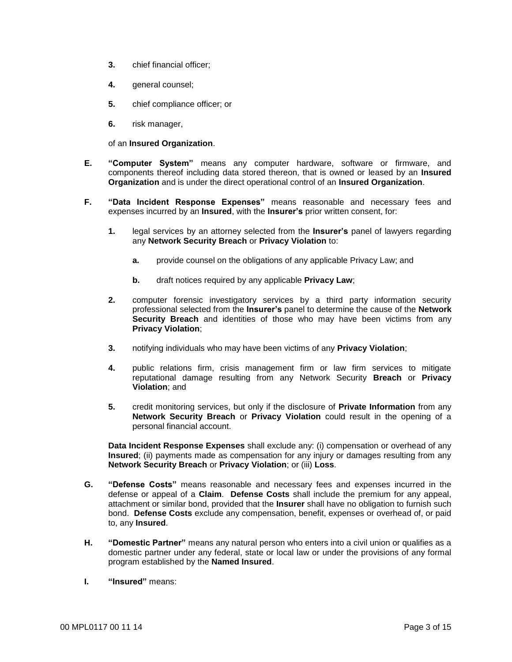- **3.** chief financial officer;
- **4.** general counsel;
- **5.** chief compliance officer; or
- **6.** risk manager,

of an **Insured Organization**.

- **E. "Computer System"** means any computer hardware, software or firmware, and components thereof including data stored thereon, that is owned or leased by an **Insured Organization** and is under the direct operational control of an **Insured Organization**.
- **F. "Data Incident Response Expenses"** means reasonable and necessary fees and expenses incurred by an **Insured**, with the **Insurer's** prior written consent, for:
	- **1.** legal services by an attorney selected from the **Insurer's** panel of lawyers regarding any **Network Security Breach** or **Privacy Violation** to:
		- **a.** provide counsel on the obligations of any applicable Privacy Law; and
		- **b.** draft notices required by any applicable **Privacy Law**;
	- **2.** computer forensic investigatory services by a third party information security professional selected from the **Insurer's** panel to determine the cause of the **Network Security Breach** and identities of those who may have been victims from any **Privacy Violation**;
	- **3.** notifying individuals who may have been victims of any **Privacy Violation**;
	- **4.** public relations firm, crisis management firm or law firm services to mitigate reputational damage resulting from any Network Security **Breach** or **Privacy Violation**; and
	- **5.** credit monitoring services, but only if the disclosure of **Private Information** from any **Network Security Breach** or **Privacy Violation** could result in the opening of a personal financial account.

**Data Incident Response Expenses** shall exclude any: (i) compensation or overhead of any **Insured**; (ii) payments made as compensation for any injury or damages resulting from any **Network Security Breach** or **Privacy Violation**; or (iii) **Loss**.

- **G. "Defense Costs"** means reasonable and necessary fees and expenses incurred in the defense or appeal of a **Claim**. **Defense Costs** shall include the premium for any appeal, attachment or similar bond, provided that the **Insurer** shall have no obligation to furnish such bond. **Defense Costs** exclude any compensation, benefit, expenses or overhead of, or paid to, any **Insured**.
- **H. "Domestic Partner"** means any natural person who enters into a civil union or qualifies as a domestic partner under any federal, state or local law or under the provisions of any formal program established by the **Named Insured**.
- **I. "Insured"** means: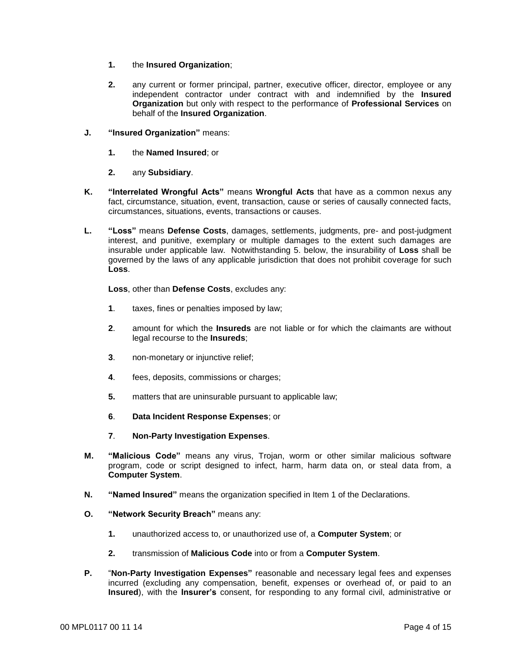- **1.** the **Insured Organization**;
- **2.** any current or former principal, partner, executive officer, director, employee or any independent contractor under contract with and indemnified by the **Insured Organization** but only with respect to the performance of **Professional Services** on behalf of the **Insured Organization**.
- **J. "Insured Organization"** means:
	- **1.** the **Named Insured**; or
	- **2.** any **Subsidiary**.
- **K. "Interrelated Wrongful Acts"** means **Wrongful Acts** that have as a common nexus any fact, circumstance, situation, event, transaction, cause or series of causally connected facts, circumstances, situations, events, transactions or causes.
- **L. "Loss"** means **Defense Costs**, damages, settlements, judgments, pre- and post-judgment interest, and punitive, exemplary or multiple damages to the extent such damages are insurable under applicable law. Notwithstanding 5. below, the insurability of **Loss** shall be governed by the laws of any applicable jurisdiction that does not prohibit coverage for such **Loss**.

**Loss**, other than **Defense Costs**, excludes any:

- **1**. taxes, fines or penalties imposed by law;
- **2**. amount for which the **Insureds** are not liable or for which the claimants are without legal recourse to the **Insureds**;
- **3**. non-monetary or injunctive relief;
- **4**. fees, deposits, commissions or charges;
- **5.** matters that are uninsurable pursuant to applicable law;
- **6**. **Data Incident Response Expenses**; or
- **7**. **Non-Party Investigation Expenses**.
- **M. "Malicious Code"** means any virus, Trojan, worm or other similar malicious software program, code or script designed to infect, harm, harm data on, or steal data from, a **Computer System**.
- **N. "Named Insured"** means the organization specified in Item 1 of the Declarations.
- **O. "Network Security Breach"** means any:
	- **1.** unauthorized access to, or unauthorized use of, a **Computer System**; or
	- **2.** transmission of **Malicious Code** into or from a **Computer System**.
- **P.** "**Non-Party Investigation Expenses"** reasonable and necessary legal fees and expenses incurred (excluding any compensation, benefit, expenses or overhead of, or paid to an **Insured**), with the **Insurer's** consent, for responding to any formal civil, administrative or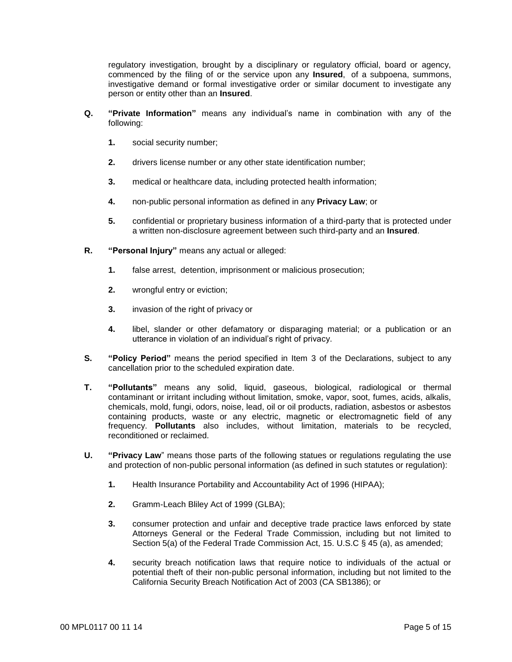regulatory investigation, brought by a disciplinary or regulatory official, board or agency, commenced by the filing of or the service upon any **Insured**, of a subpoena, summons, investigative demand or formal investigative order or similar document to investigate any person or entity other than an **Insured**.

- **Q. "Private Information"** means any individual's name in combination with any of the following:
	- **1.** social security number;
	- **2.** drivers license number or any other state identification number;
	- **3.** medical or healthcare data, including protected health information;
	- **4.** non-public personal information as defined in any **Privacy Law**; or
	- **5.** confidential or proprietary business information of a third-party that is protected under a written non-disclosure agreement between such third-party and an **Insured**.
- **R. "Personal Injury"** means any actual or alleged:
	- **1.** false arrest, detention, imprisonment or malicious prosecution;
	- **2.** wrongful entry or eviction;
	- **3.** invasion of the right of privacy or
	- **4.** libel, slander or other defamatory or disparaging material; or a publication or an utterance in violation of an individual's right of privacy.
- **S. "Policy Period"** means the period specified in Item 3 of the Declarations, subject to any cancellation prior to the scheduled expiration date.
- **T. "Pollutants"** means any solid, liquid, gaseous, biological, radiological or thermal contaminant or irritant including without limitation, smoke, vapor, soot, fumes, acids, alkalis, chemicals, mold, fungi, odors, noise, lead, oil or oil products, radiation, asbestos or asbestos containing products, waste or any electric, magnetic or electromagnetic field of any frequency. **Pollutants** also includes, without limitation, materials to be recycled, reconditioned or reclaimed.
- **U. "Privacy Law**" means those parts of the following statues or regulations regulating the use and protection of non-public personal information (as defined in such statutes or regulation):
	- **1.** Health Insurance Portability and Accountability Act of 1996 (HIPAA);
	- **2.** Gramm-Leach Bliley Act of 1999 (GLBA);
	- **3.** consumer protection and unfair and deceptive trade practice laws enforced by state Attorneys General or the Federal Trade Commission, including but not limited to Section 5(a) of the Federal Trade Commission Act, 15. U.S.C § 45 (a), as amended;
	- **4.** security breach notification laws that require notice to individuals of the actual or potential theft of their non-public personal information, including but not limited to the California Security Breach Notification Act of 2003 (CA SB1386); or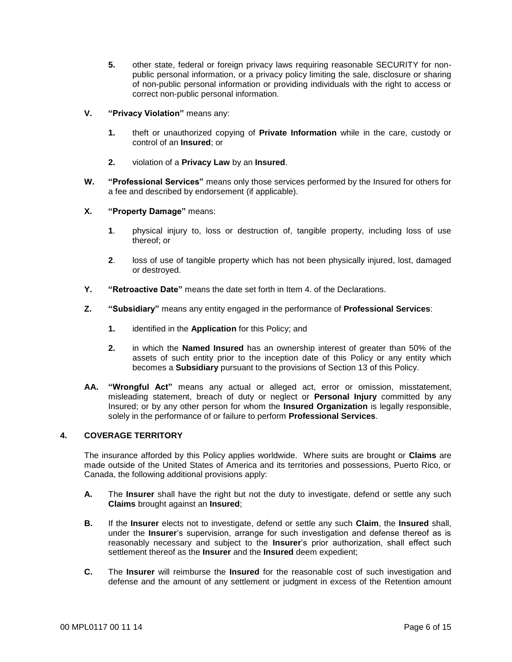- **5.** other state, federal or foreign privacy laws requiring reasonable SECURITY for nonpublic personal information, or a privacy policy limiting the sale, disclosure or sharing of non-public personal information or providing individuals with the right to access or correct non-public personal information.
- **V. "Privacy Violation"** means any:
	- **1.** theft or unauthorized copying of **Private Information** while in the care, custody or control of an **Insured**; or
	- **2.** violation of a **Privacy Law** by an **Insured**.
- **W. "Professional Services"** means only those services performed by the Insured for others for a fee and described by endorsement (if applicable).
- **X. "Property Damage"** means:
	- **1**. physical injury to, loss or destruction of, tangible property, including loss of use thereof; or
	- **2**. loss of use of tangible property which has not been physically injured, lost, damaged or destroyed.
- **Y. "Retroactive Date"** means the date set forth in Item 4. of the Declarations.
- **Z. "Subsidiary"** means any entity engaged in the performance of **Professional Services**:
	- **1.** identified in the **Application** for this Policy; and
	- **2.** in which the **Named Insured** has an ownership interest of greater than 50% of the assets of such entity prior to the inception date of this Policy or any entity which becomes a **Subsidiary** pursuant to the provisions of Section 13 of this Policy.
- **AA. "Wrongful Act"** means any actual or alleged act, error or omission, misstatement, misleading statement, breach of duty or neglect or **Personal Injury** committed by any Insured; or by any other person for whom the **Insured Organization** is legally responsible, solely in the performance of or failure to perform **Professional Services**.

## **4. COVERAGE TERRITORY**

The insurance afforded by this Policy applies worldwide. Where suits are brought or **Claims** are made outside of the United States of America and its territories and possessions, Puerto Rico, or Canada, the following additional provisions apply:

- **A.** The **Insurer** shall have the right but not the duty to investigate, defend or settle any such **Claims** brought against an **Insured**;
- **B.** If the **Insurer** elects not to investigate, defend or settle any such **Claim**, the **Insured** shall, under the **Insurer**'s supervision, arrange for such investigation and defense thereof as is reasonably necessary and subject to the **Insurer**'s prior authorization, shall effect such settlement thereof as the **Insurer** and the **Insured** deem expedient;
- **C.** The **Insurer** will reimburse the **Insured** for the reasonable cost of such investigation and defense and the amount of any settlement or judgment in excess of the Retention amount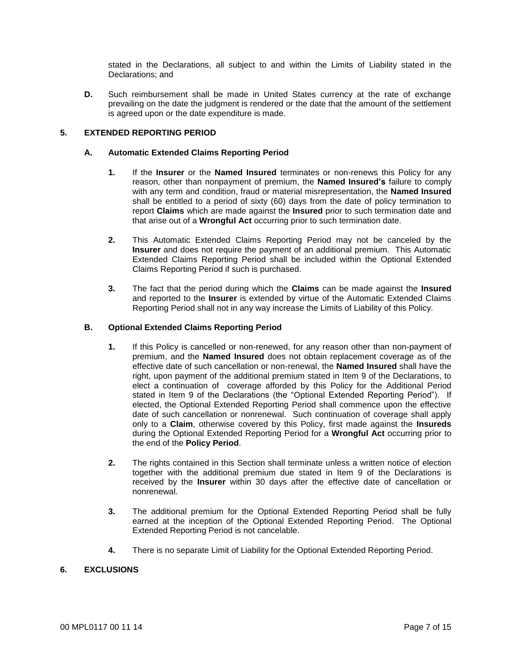stated in the Declarations, all subject to and within the Limits of Liability stated in the Declarations; and

**D.** Such reimbursement shall be made in United States currency at the rate of exchange prevailing on the date the judgment is rendered or the date that the amount of the settlement is agreed upon or the date expenditure is made.

# **5. EXTENDED REPORTING PERIOD**

# **A. Automatic Extended Claims Reporting Period**

- **1.** If the **Insurer** or the **Named Insured** terminates or non-renews this Policy for any reason, other than nonpayment of premium, the **Named Insured's** failure to comply with any term and condition, fraud or material misrepresentation, the **Named Insured** shall be entitled to a period of sixty (60) days from the date of policy termination to report **Claims** which are made against the **Insured** prior to such termination date and that arise out of a **Wrongful Act** occurring prior to such termination date.
- **2.** This Automatic Extended Claims Reporting Period may not be canceled by the **Insurer** and does not require the payment of an additional premium. This Automatic Extended Claims Reporting Period shall be included within the Optional Extended Claims Reporting Period if such is purchased.
- **3.** The fact that the period during which the **Claims** can be made against the **Insured** and reported to the **Insurer** is extended by virtue of the Automatic Extended Claims Reporting Period shall not in any way increase the Limits of Liability of this Policy.

# **B. Optional Extended Claims Reporting Period**

- **1.** If this Policy is cancelled or non-renewed, for any reason other than non-payment of premium, and the **Named Insured** does not obtain replacement coverage as of the effective date of such cancellation or non-renewal, the **Named Insured** shall have the right, upon payment of the additional premium stated in Item 9 of the Declarations, to elect a continuation of coverage afforded by this Policy for the Additional Period stated in Item 9 of the Declarations (the "Optional Extended Reporting Period"). If elected, the Optional Extended Reporting Period shall commence upon the effective date of such cancellation or nonrenewal. Such continuation of coverage shall apply only to a **Claim**, otherwise covered by this Policy, first made against the **Insureds** during the Optional Extended Reporting Period for a **Wrongful Act** occurring prior to the end of the **Policy Period**.
- **2.** The rights contained in this Section shall terminate unless a written notice of election together with the additional premium due stated in Item 9 of the Declarations is received by the **Insurer** within 30 days after the effective date of cancellation or nonrenewal.
- **3.** The additional premium for the Optional Extended Reporting Period shall be fully earned at the inception of the Optional Extended Reporting Period. The Optional Extended Reporting Period is not cancelable.
- **4.** There is no separate Limit of Liability for the Optional Extended Reporting Period.

# **6. EXCLUSIONS**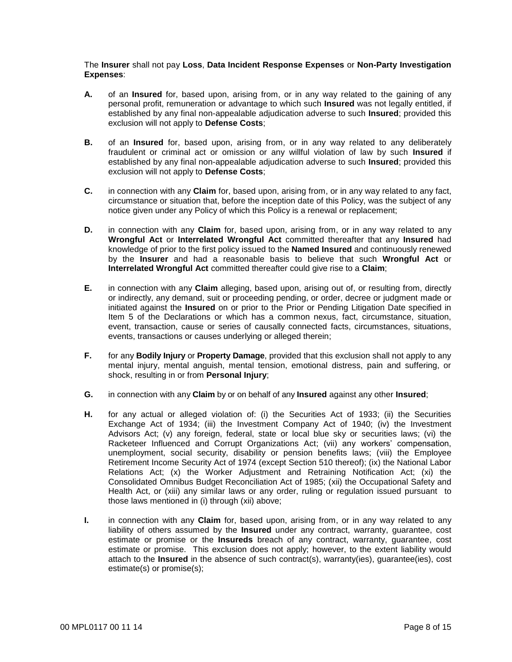The **Insurer** shall not pay **Loss**, **Data Incident Response Expenses** or **Non-Party Investigation Expenses**:

- **A.** of an **Insured** for, based upon, arising from, or in any way related to the gaining of any personal profit, remuneration or advantage to which such **Insured** was not legally entitled, if established by any final non-appealable adjudication adverse to such **Insured**; provided this exclusion will not apply to **Defense Costs**;
- **B.** of an **Insured** for, based upon, arising from, or in any way related to any deliberately fraudulent or criminal act or omission or any willful violation of law by such **Insured** if established by any final non-appealable adjudication adverse to such **Insured**; provided this exclusion will not apply to **Defense Costs**;
- **C.** in connection with any **Claim** for, based upon, arising from, or in any way related to any fact, circumstance or situation that, before the inception date of this Policy, was the subject of any notice given under any Policy of which this Policy is a renewal or replacement;
- **D.** in connection with any **Claim** for, based upon, arising from, or in any way related to any **Wrongful Act** or **Interrelated Wrongful Act** committed thereafter that any **Insured** had knowledge of prior to the first policy issued to the **Named Insured** and continuously renewed by the **Insurer** and had a reasonable basis to believe that such **Wrongful Act** or **Interrelated Wrongful Act** committed thereafter could give rise to a **Claim**;
- **E.** in connection with any **Claim** alleging, based upon, arising out of, or resulting from, directly or indirectly, any demand, suit or proceeding pending, or order, decree or judgment made or initiated against the **Insured** on or prior to the Prior or Pending Litigation Date specified in Item 5 of the Declarations or which has a common nexus, fact, circumstance, situation, event, transaction, cause or series of causally connected facts, circumstances, situations, events, transactions or causes underlying or alleged therein;
- **F.** for any **Bodily Injury** or **Property Damage**, provided that this exclusion shall not apply to any mental injury, mental anguish, mental tension, emotional distress, pain and suffering, or shock, resulting in or from **Personal Injury**;
- **G.** in connection with any **Claim** by or on behalf of any **Insured** against any other **Insured**;
- **H.** for any actual or alleged violation of: (i) the Securities Act of 1933; (ii) the Securities Exchange Act of 1934; (iii) the Investment Company Act of 1940; (iv) the Investment Advisors Act; (v) any foreign, federal, state or local blue sky or securities laws; (vi) the Racketeer Influenced and Corrupt Organizations Act; (vii) any workers' compensation, unemployment, social security, disability or pension benefits laws; (viii) the Employee Retirement Income Security Act of 1974 (except Section 510 thereof); (ix) the National Labor Relations Act; (x) the Worker Adjustment and Retraining Notification Act; (xi) the Consolidated Omnibus Budget Reconciliation Act of 1985; (xii) the Occupational Safety and Health Act, or (xiii) any similar laws or any order, ruling or regulation issued pursuant to those laws mentioned in (i) through (xii) above;
- **I.** in connection with any **Claim** for, based upon, arising from, or in any way related to any liability of others assumed by the **Insured** under any contract, warranty, guarantee, cost estimate or promise or the **Insureds** breach of any contract, warranty, guarantee, cost estimate or promise. This exclusion does not apply; however, to the extent liability would attach to the **Insured** in the absence of such contract(s), warranty(ies), quarantee(ies), cost estimate(s) or promise(s);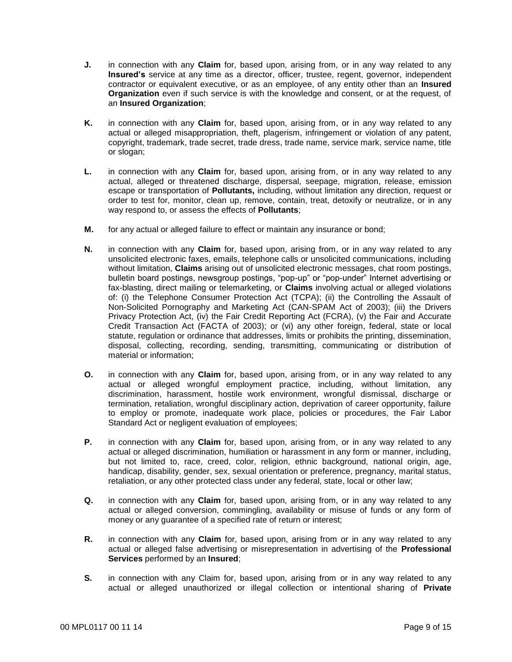- **J.** in connection with any **Claim** for, based upon, arising from, or in any way related to any **Insured's** service at any time as a director, officer, trustee, regent, governor, independent contractor or equivalent executive, or as an employee, of any entity other than an **Insured Organization** even if such service is with the knowledge and consent, or at the request, of an **Insured Organization**;
- **K.** in connection with any **Claim** for, based upon, arising from, or in any way related to any actual or alleged misappropriation, theft, plagerism, infringement or violation of any patent, copyright, trademark, trade secret, trade dress, trade name, service mark, service name, title or slogan;
- **L.** in connection with any **Claim** for, based upon, arising from, or in any way related to any actual, alleged or threatened discharge, dispersal, seepage, migration, release, emission escape or transportation of **Pollutants,** including, without limitation any direction, request or order to test for, monitor, clean up, remove, contain, treat, detoxify or neutralize, or in any way respond to, or assess the effects of **Pollutants**;
- **M.** for any actual or alleged failure to effect or maintain any insurance or bond;
- **N.** in connection with any **Claim** for, based upon, arising from, or in any way related to any unsolicited electronic faxes, emails, telephone calls or unsolicited communications, including without limitation, **Claims** arising out of unsolicited electronic messages, chat room postings, bulletin board postings, newsgroup postings, "pop-up" or "pop-under" Internet advertising or fax-blasting, direct mailing or telemarketing, or **Claims** involving actual or alleged violations of: (i) the Telephone Consumer Protection Act (TCPA); (ii) the Controlling the Assault of Non-Solicited Pornography and Marketing Act (CAN-SPAM Act of 2003); (iii) the Drivers Privacy Protection Act, (iv) the Fair Credit Reporting Act (FCRA), (v) the Fair and Accurate Credit Transaction Act (FACTA of 2003); or (vi) any other foreign, federal, state or local statute, regulation or ordinance that addresses, limits or prohibits the printing, dissemination, disposal, collecting, recording, sending, transmitting, communicating or distribution of material or information;
- **O.** in connection with any **Claim** for, based upon, arising from, or in any way related to any actual or alleged wrongful employment practice, including, without limitation, any discrimination, harassment, hostile work environment, wrongful dismissal, discharge or termination, retaliation, wrongful disciplinary action, deprivation of career opportunity, failure to employ or promote, inadequate work place, policies or procedures, the Fair Labor Standard Act or negligent evaluation of employees;
- **P.** in connection with any **Claim** for, based upon, arising from, or in any way related to any actual or alleged discrimination, humiliation or harassment in any form or manner, including, but not limited to, race, creed, color, religion, ethnic background, national origin, age, handicap, disability, gender, sex, sexual orientation or preference, pregnancy, marital status, retaliation, or any other protected class under any federal, state, local or other law;
- **Q.** in connection with any **Claim** for, based upon, arising from, or in any way related to any actual or alleged conversion, commingling, availability or misuse of funds or any form of money or any guarantee of a specified rate of return or interest;
- **R.** in connection with any **Claim** for, based upon, arising from or in any way related to any actual or alleged false advertising or misrepresentation in advertising of the **Professional Services** performed by an **Insured**;
- **S.** in connection with any Claim for, based upon, arising from or in any way related to any actual or alleged unauthorized or illegal collection or intentional sharing of **Private**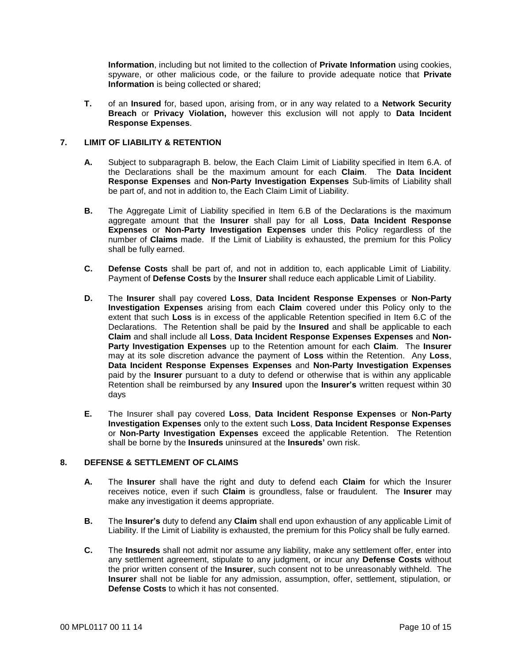**Information**, including but not limited to the collection of **Private Information** using cookies, spyware, or other malicious code, or the failure to provide adequate notice that **Private Information** is being collected or shared;

**T.** of an **Insured** for, based upon, arising from, or in any way related to a **Network Security Breach** or **Privacy Violation,** however this exclusion will not apply to **Data Incident Response Expenses**.

# **7. LIMIT OF LIABILITY & RETENTION**

- **A.** Subject to subparagraph B. below, the Each Claim Limit of Liability specified in Item 6.A. of the Declarations shall be the maximum amount for each **Claim**. The **Data Incident Response Expenses** and **Non-Party Investigation Expenses** Sub-limits of Liability shall be part of, and not in addition to, the Each Claim Limit of Liability.
- **B.** The Aggregate Limit of Liability specified in Item 6.B of the Declarations is the maximum aggregate amount that the **Insurer** shall pay for all **Loss**, **Data Incident Response Expenses** or **Non-Party Investigation Expenses** under this Policy regardless of the number of **Claims** made. If the Limit of Liability is exhausted, the premium for this Policy shall be fully earned.
- **C. Defense Costs** shall be part of, and not in addition to, each applicable Limit of Liability. Payment of **Defense Costs** by the **Insurer** shall reduce each applicable Limit of Liability.
- **D.** The **Insurer** shall pay covered **Loss**, **Data Incident Response Expenses** or **Non-Party Investigation Expenses** arising from each **Claim** covered under this Policy only to the extent that such **Loss** is in excess of the applicable Retention specified in Item 6.C of the Declarations. The Retention shall be paid by the **Insured** and shall be applicable to each **Claim** and shall include all **Loss**, **Data Incident Response Expenses Expenses** and **Non-Party Investigation Expenses** up to the Retention amount for each **Claim**. The **Insurer**  may at its sole discretion advance the payment of **Loss** within the Retention. Any **Loss**, **Data Incident Response Expenses Expenses** and **Non-Party Investigation Expenses** paid by the **Insurer** pursuant to a duty to defend or otherwise that is within any applicable Retention shall be reimbursed by any **Insured** upon the **Insurer's** written request within 30 days
- **E.** The Insurer shall pay covered **Loss**, **Data Incident Response Expenses** or **Non-Party Investigation Expenses** only to the extent such **Loss**, **Data Incident Response Expenses** or **Non-Party Investigation Expenses** exceed the applicable Retention. The Retention shall be borne by the **Insureds** uninsured at the **Insureds'** own risk.

## **8. DEFENSE & SETTLEMENT OF CLAIMS**

- **A.** The **Insurer** shall have the right and duty to defend each **Claim** for which the Insurer receives notice, even if such **Claim** is groundless, false or fraudulent. The **Insurer** may make any investigation it deems appropriate.
- **B.** The **Insurer's** duty to defend any **Claim** shall end upon exhaustion of any applicable Limit of Liability. If the Limit of Liability is exhausted, the premium for this Policy shall be fully earned.
- **C.** The **Insureds** shall not admit nor assume any liability, make any settlement offer, enter into any settlement agreement, stipulate to any judgment, or incur any **Defense Costs** without the prior written consent of the **Insurer**, such consent not to be unreasonably withheld. The **Insurer** shall not be liable for any admission, assumption, offer, settlement, stipulation, or **Defense Costs** to which it has not consented.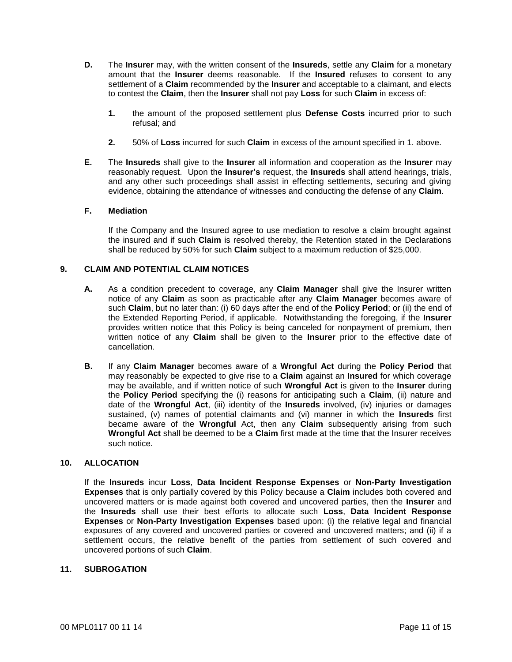- **D.** The **Insurer** may, with the written consent of the **Insureds**, settle any **Claim** for a monetary amount that the **Insurer** deems reasonable. If the **Insured** refuses to consent to any settlement of a **Claim** recommended by the **Insurer** and acceptable to a claimant, and elects to contest the **Claim**, then the **Insurer** shall not pay **Loss** for such **Claim** in excess of:
	- **1.** the amount of the proposed settlement plus **Defense Costs** incurred prior to such refusal; and
	- **2.** 50% of **Loss** incurred for such **Claim** in excess of the amount specified in 1. above.
- **E.** The **Insureds** shall give to the **Insurer** all information and cooperation as the **Insurer** may reasonably request. Upon the **Insurer's** request, the **Insureds** shall attend hearings, trials, and any other such proceedings shall assist in effecting settlements, securing and giving evidence, obtaining the attendance of witnesses and conducting the defense of any **Claim**.

## **F. Mediation**

If the Company and the Insured agree to use mediation to resolve a claim brought against the insured and if such **Claim** is resolved thereby, the Retention stated in the Declarations shall be reduced by 50% for such **Claim** subject to a maximum reduction of \$25,000.

## **9. CLAIM AND POTENTIAL CLAIM NOTICES**

- **A.** As a condition precedent to coverage, any **Claim Manager** shall give the Insurer written notice of any **Claim** as soon as practicable after any **Claim Manager** becomes aware of such **Claim**, but no later than: (i) 60 days after the end of the **Policy Period**; or (ii) the end of the Extended Reporting Period, if applicable. Notwithstanding the foregoing, if the **Insurer** provides written notice that this Policy is being canceled for nonpayment of premium, then written notice of any **Claim** shall be given to the **Insurer** prior to the effective date of cancellation.
- **B.** If any **Claim Manager** becomes aware of a **Wrongful Act** during the **Policy Period** that may reasonably be expected to give rise to a **Claim** against an **Insured** for which coverage may be available, and if written notice of such **Wrongful Act** is given to the **Insurer** during the **Policy Period** specifying the (i) reasons for anticipating such a **Claim**, (ii) nature and date of the **Wrongful Act**, (iii) identity of the **Insureds** involved, (iv) injuries or damages sustained, (v) names of potential claimants and (vi) manner in which the **Insureds** first became aware of the **Wrongful** Act, then any **Claim** subsequently arising from such **Wrongful Act** shall be deemed to be a **Claim** first made at the time that the Insurer receives such notice.

## **10. ALLOCATION**

If the **Insureds** incur **Loss**, **Data Incident Response Expenses** or **Non-Party Investigation Expenses** that is only partially covered by this Policy because a **Claim** includes both covered and uncovered matters or is made against both covered and uncovered parties, then the **Insurer** and the **Insureds** shall use their best efforts to allocate such **Loss**, **Data Incident Response Expenses** or **Non-Party Investigation Expenses** based upon: (i) the relative legal and financial exposures of any covered and uncovered parties or covered and uncovered matters; and (ii) if a settlement occurs, the relative benefit of the parties from settlement of such covered and uncovered portions of such **Claim**.

# **11. SUBROGATION**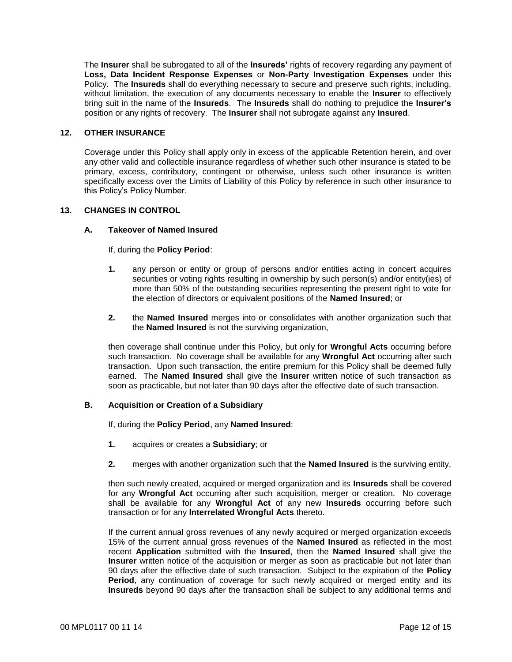The **Insurer** shall be subrogated to all of the **Insureds'** rights of recovery regarding any payment of **Loss, Data Incident Response Expenses** or **Non-Party Investigation Expenses** under this Policy. The **Insureds** shall do everything necessary to secure and preserve such rights, including, without limitation, the execution of any documents necessary to enable the **Insurer** to effectively bring suit in the name of the **Insureds**. The **Insureds** shall do nothing to prejudice the **Insurer's**  position or any rights of recovery. The **Insurer** shall not subrogate against any **Insured**.

# **12. OTHER INSURANCE**

Coverage under this Policy shall apply only in excess of the applicable Retention herein, and over any other valid and collectible insurance regardless of whether such other insurance is stated to be primary, excess, contributory, contingent or otherwise, unless such other insurance is written specifically excess over the Limits of Liability of this Policy by reference in such other insurance to this Policy's Policy Number.

## **13. CHANGES IN CONTROL**

# **A. Takeover of Named Insured**

If, during the **Policy Period**:

- **1.** any person or entity or group of persons and/or entities acting in concert acquires securities or voting rights resulting in ownership by such person(s) and/or entity(ies) of more than 50% of the outstanding securities representing the present right to vote for the election of directors or equivalent positions of the **Named Insured**; or
- **2.** the **Named Insured** merges into or consolidates with another organization such that the **Named Insured** is not the surviving organization,

then coverage shall continue under this Policy, but only for **Wrongful Acts** occurring before such transaction. No coverage shall be available for any **Wrongful Act** occurring after such transaction. Upon such transaction, the entire premium for this Policy shall be deemed fully earned. The **Named Insured** shall give the **Insurer** written notice of such transaction as soon as practicable, but not later than 90 days after the effective date of such transaction.

# **B. Acquisition or Creation of a Subsidiary**

If, during the **Policy Period**, any **Named Insured**:

- **1.** acquires or creates a **Subsidiary**; or
- **2.** merges with another organization such that the **Named Insured** is the surviving entity,

then such newly created, acquired or merged organization and its **Insureds** shall be covered for any **Wrongful Act** occurring after such acquisition, merger or creation. No coverage shall be available for any **Wrongful Act** of any new **Insureds** occurring before such transaction or for any **Interrelated Wrongful Acts** thereto.

If the current annual gross revenues of any newly acquired or merged organization exceeds 15% of the current annual gross revenues of the **Named Insured** as reflected in the most recent **Application** submitted with the **Insured**, then the **Named Insured** shall give the **Insurer** written notice of the acquisition or merger as soon as practicable but not later than 90 days after the effective date of such transaction. Subject to the expiration of the **Policy Period**, any continuation of coverage for such newly acquired or merged entity and its **Insureds** beyond 90 days after the transaction shall be subject to any additional terms and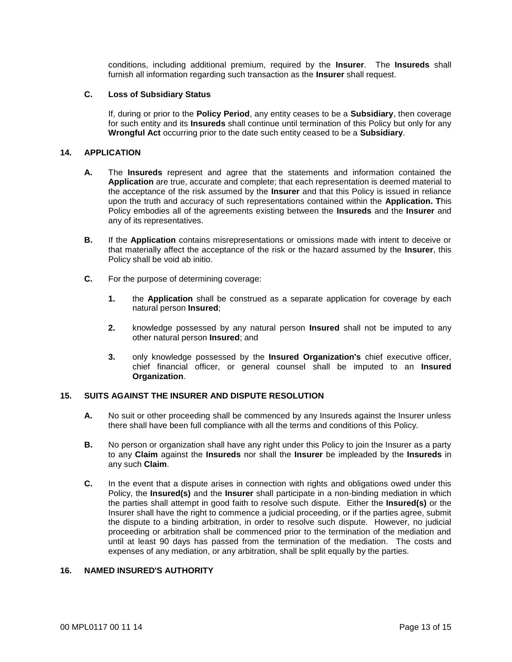conditions, including additional premium, required by the **Insurer**. The **Insureds** shall furnish all information regarding such transaction as the **Insurer** shall request.

# **C. Loss of Subsidiary Status**

If, during or prior to the **Policy Period**, any entity ceases to be a **Subsidiary**, then coverage for such entity and its **Insureds** shall continue until termination of this Policy but only for any **Wrongful Act** occurring prior to the date such entity ceased to be a **Subsidiary**.

# **14. APPLICATION**

- **A.** The **Insureds** represent and agree that the statements and information contained the **Application** are true, accurate and complete; that each representation is deemed material to the acceptance of the risk assumed by the **Insurer** and that this Policy is issued in reliance upon the truth and accuracy of such representations contained within the **Application. T**his Policy embodies all of the agreements existing between the **Insureds** and the **Insurer** and any of its representatives.
- **B.** If the **Application** contains misrepresentations or omissions made with intent to deceive or that materially affect the acceptance of the risk or the hazard assumed by the **Insurer**, this Policy shall be void ab initio.
- **C.** For the purpose of determining coverage:
	- **1.** the **Application** shall be construed as a separate application for coverage by each natural person **Insured**;
	- **2.** knowledge possessed by any natural person **Insured** shall not be imputed to any other natural person **Insured**; and
	- **3.** only knowledge possessed by the **Insured Organization's** chief executive officer, chief financial officer, or general counsel shall be imputed to an **Insured Organization**.

# **15. SUITS AGAINST THE INSURER AND DISPUTE RESOLUTION**

- **A.** No suit or other proceeding shall be commenced by any Insureds against the Insurer unless there shall have been full compliance with all the terms and conditions of this Policy.
- **B.** No person or organization shall have any right under this Policy to join the Insurer as a party to any **Claim** against the **Insureds** nor shall the **Insurer** be impleaded by the **Insureds** in any such **Claim**.
- **C.** In the event that a dispute arises in connection with rights and obligations owed under this Policy, the **Insured(s)** and the **Insurer** shall participate in a non-binding mediation in which the parties shall attempt in good faith to resolve such dispute. Either the **Insured(s)** or the Insurer shall have the right to commence a judicial proceeding, or if the parties agree, submit the dispute to a binding arbitration, in order to resolve such dispute. However, no judicial proceeding or arbitration shall be commenced prior to the termination of the mediation and until at least 90 days has passed from the termination of the mediation. The costs and expenses of any mediation, or any arbitration, shall be split equally by the parties.

# **16. NAMED INSURED'S AUTHORITY**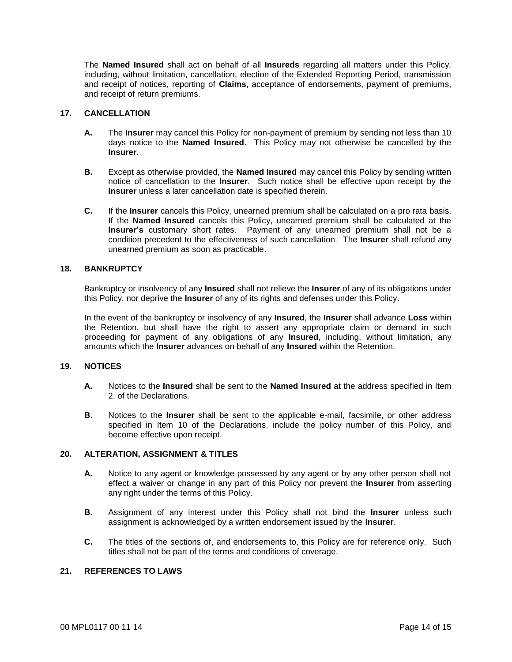The **Named Insured** shall act on behalf of all **Insureds** regarding all matters under this Policy, including, without limitation, cancellation, election of the Extended Reporting Period, transmission and receipt of notices, reporting of **Claims**, acceptance of endorsements, payment of premiums, and receipt of return premiums.

## **17. CANCELLATION**

- **A.** The **Insurer** may cancel this Policy for non-payment of premium by sending not less than 10 days notice to the **Named Insured**. This Policy may not otherwise be cancelled by the **Insurer**.
- **B.** Except as otherwise provided, the **Named Insured** may cancel this Policy by sending written notice of cancellation to the **Insurer**. Such notice shall be effective upon receipt by the **Insurer** unless a later cancellation date is specified therein.
- **C.** If the **Insurer** cancels this Policy, unearned premium shall be calculated on a pro rata basis. If the **Named Insured** cancels this Policy, unearned premium shall be calculated at the **Insurer's** customary short rates. Payment of any unearned premium shall not be a condition precedent to the effectiveness of such cancellation. The **Insurer** shall refund any unearned premium as soon as practicable.

#### **18. BANKRUPTCY**

Bankruptcy or insolvency of any **Insured** shall not relieve the **Insurer** of any of its obligations under this Policy, nor deprive the **Insurer** of any of its rights and defenses under this Policy.

In the event of the bankruptcy or insolvency of any **Insured**, the **Insurer** shall advance **Loss** within the Retention, but shall have the right to assert any appropriate claim or demand in such proceeding for payment of any obligations of any **Insured**, including, without limitation, any amounts which the **Insurer** advances on behalf of any **Insured** within the Retention.

## **19. NOTICES**

- **A.** Notices to the **Insured** shall be sent to the **Named Insured** at the address specified in Item 2. of the Declarations.
- **B.** Notices to the **Insurer** shall be sent to the applicable e-mail, facsimile, or other address specified in Item 10 of the Declarations, include the policy number of this Policy, and become effective upon receipt.

## **20. ALTERATION, ASSIGNMENT & TITLES**

- **A.** Notice to any agent or knowledge possessed by any agent or by any other person shall not effect a waiver or change in any part of this Policy nor prevent the **Insurer** from asserting any right under the terms of this Policy.
- **B.** Assignment of any interest under this Policy shall not bind the **Insurer** unless such assignment is acknowledged by a written endorsement issued by the **Insurer**.
- **C.** The titles of the sections of, and endorsements to, this Policy are for reference only. Such titles shall not be part of the terms and conditions of coverage.

# **21. REFERENCES TO LAWS**